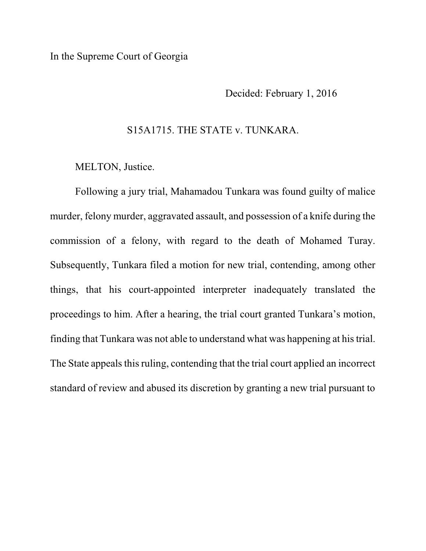## In the Supreme Court of Georgia

Decided: February 1, 2016

## S15A1715. THE STATE v. TUNKARA.

MELTON, Justice.

Following a jury trial, Mahamadou Tunkara was found guilty of malice murder, felony murder, aggravated assault, and possession of a knife during the commission of a felony, with regard to the death of Mohamed Turay. Subsequently, Tunkara filed a motion for new trial, contending, among other things, that his court-appointed interpreter inadequately translated the proceedings to him. After a hearing, the trial court granted Tunkara's motion, finding that Tunkara was not able to understand what was happening at his trial. The State appeals this ruling, contending that the trial court applied an incorrect standard of review and abused its discretion by granting a new trial pursuant to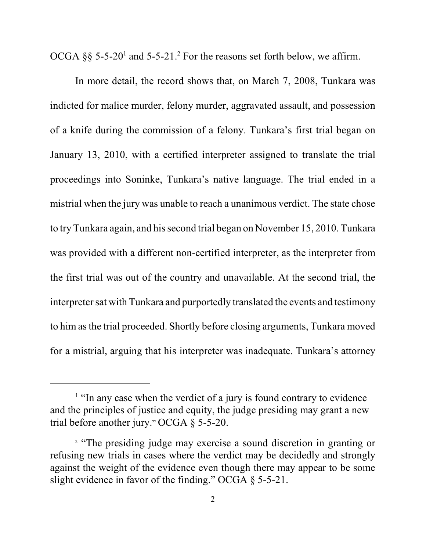OCGA  $\S$ § 5-5-20<sup>1</sup> and 5-5-21.<sup>2</sup> For the reasons set forth below, we affirm.

In more detail, the record shows that, on March 7, 2008, Tunkara was indicted for malice murder, felony murder, aggravated assault, and possession of a knife during the commission of a felony. Tunkara's first trial began on January 13, 2010, with a certified interpreter assigned to translate the trial proceedings into Soninke, Tunkara's native language. The trial ended in a mistrial when the jury was unable to reach a unanimous verdict. The state chose to try Tunkara again, and his second trial began on November 15, 2010. Tunkara was provided with a different non-certified interpreter, as the interpreter from the first trial was out of the country and unavailable. At the second trial, the interpreter sat with Tunkara and purportedly translated the events and testimony to him as the trial proceeded. Shortly before closing arguments, Tunkara moved for a mistrial, arguing that his interpreter was inadequate. Tunkara's attorney

<sup>&</sup>lt;sup>1</sup> "In any case when the verdict of a jury is found contrary to evidence and the principles of justice and equity, the judge presiding may grant a new trial before another jury." OCGA § 5-5-20.

<sup>&</sup>lt;sup>2</sup> "The presiding judge may exercise a sound discretion in granting or refusing new trials in cases where the verdict may be decidedly and strongly against the weight of the evidence even though there may appear to be some slight evidence in favor of the finding." OCGA § 5-5-21.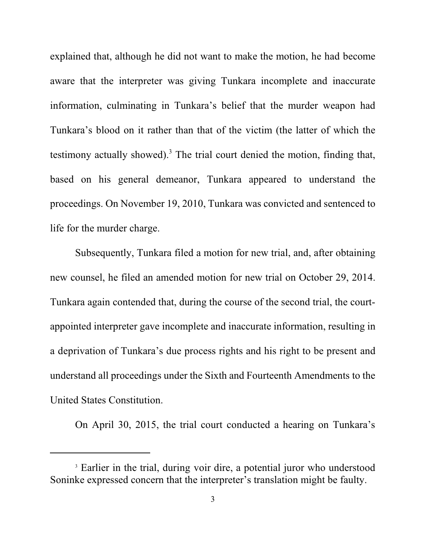explained that, although he did not want to make the motion, he had become aware that the interpreter was giving Tunkara incomplete and inaccurate information, culminating in Tunkara's belief that the murder weapon had Tunkara's blood on it rather than that of the victim (the latter of which the testimony actually showed).<sup>3</sup> The trial court denied the motion, finding that, based on his general demeanor, Tunkara appeared to understand the proceedings. On November 19, 2010, Tunkara was convicted and sentenced to life for the murder charge.

Subsequently, Tunkara filed a motion for new trial, and, after obtaining new counsel, he filed an amended motion for new trial on October 29, 2014. Tunkara again contended that, during the course of the second trial, the courtappointed interpreter gave incomplete and inaccurate information, resulting in a deprivation of Tunkara's due process rights and his right to be present and understand all proceedings under the Sixth and Fourteenth Amendments to the United States Constitution.

On April 30, 2015, the trial court conducted a hearing on Tunkara's

<sup>&</sup>lt;sup>3</sup> Earlier in the trial, during voir dire, a potential juror who understood Soninke expressed concern that the interpreter's translation might be faulty.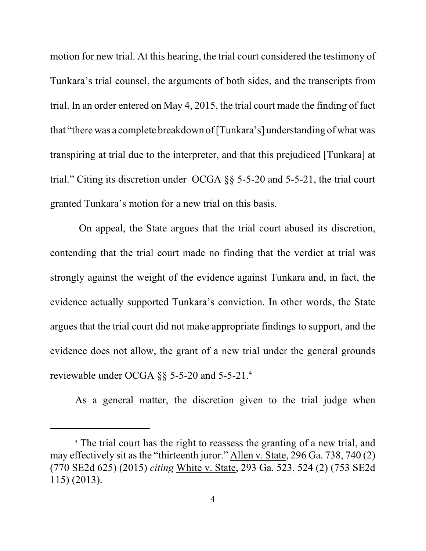motion for new trial. At this hearing, the trial court considered the testimony of Tunkara's trial counsel, the arguments of both sides, and the transcripts from trial. In an order entered on May 4, 2015, the trial court made the finding of fact that "therewas a complete breakdown of [Tunkara's] understanding of what was transpiring at trial due to the interpreter, and that this prejudiced [Tunkara] at trial." Citing its discretion under OCGA §§ 5-5-20 and 5-5-21, the trial court granted Tunkara's motion for a new trial on this basis.

On appeal, the State argues that the trial court abused its discretion, contending that the trial court made no finding that the verdict at trial was strongly against the weight of the evidence against Tunkara and, in fact, the evidence actually supported Tunkara's conviction. In other words, the State argues that the trial court did not make appropriate findings to support, and the evidence does not allow, the grant of a new trial under the general grounds reviewable under OCGA §§ 5-5-20 and 5-5-21.<sup>4</sup>

As a general matter, the discretion given to the trial judge when

<sup>4</sup> The trial court has the right to reassess the granting of a new trial, and may effectively sit as the "thirteenth juror." Allen v. State, 296 Ga. 738, 740 (2) (770 SE2d 625) (2015) *citing* White v. State, 293 Ga. 523, 524 (2) (753 SE2d 115) (2013).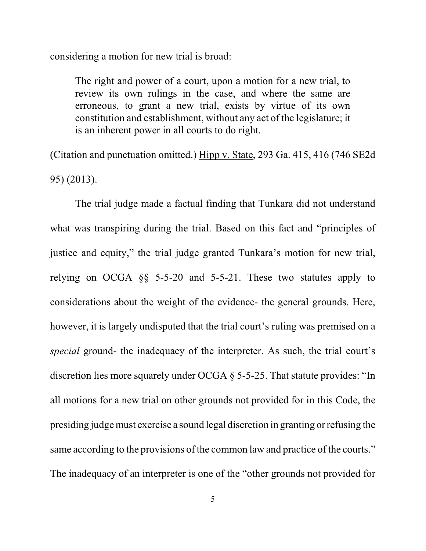considering a motion for new trial is broad:

The right and power of a court, upon a motion for a new trial, to review its own rulings in the case, and where the same are erroneous, to grant a new trial, exists by virtue of its own constitution and establishment, without any act of the legislature; it is an inherent power in all courts to do right.

(Citation and punctuation omitted.) Hipp v. State, 293 Ga. 415, 416 (746 SE2d 95) (2013).

The trial judge made a factual finding that Tunkara did not understand what was transpiring during the trial. Based on this fact and "principles of justice and equity," the trial judge granted Tunkara's motion for new trial, relying on OCGA §§ 5-5-20 and 5-5-21. These two statutes apply to considerations about the weight of the evidence- the general grounds. Here, however, it is largely undisputed that the trial court's ruling was premised on a *special* ground- the inadequacy of the interpreter. As such, the trial court's discretion lies more squarely under OCGA § 5-5-25. That statute provides: "In all motions for a new trial on other grounds not provided for in this Code, the presiding judgemust exercise a sound legal discretion in granting or refusing the same according to the provisions of the common law and practice of the courts." The inadequacy of an interpreter is one of the "other grounds not provided for